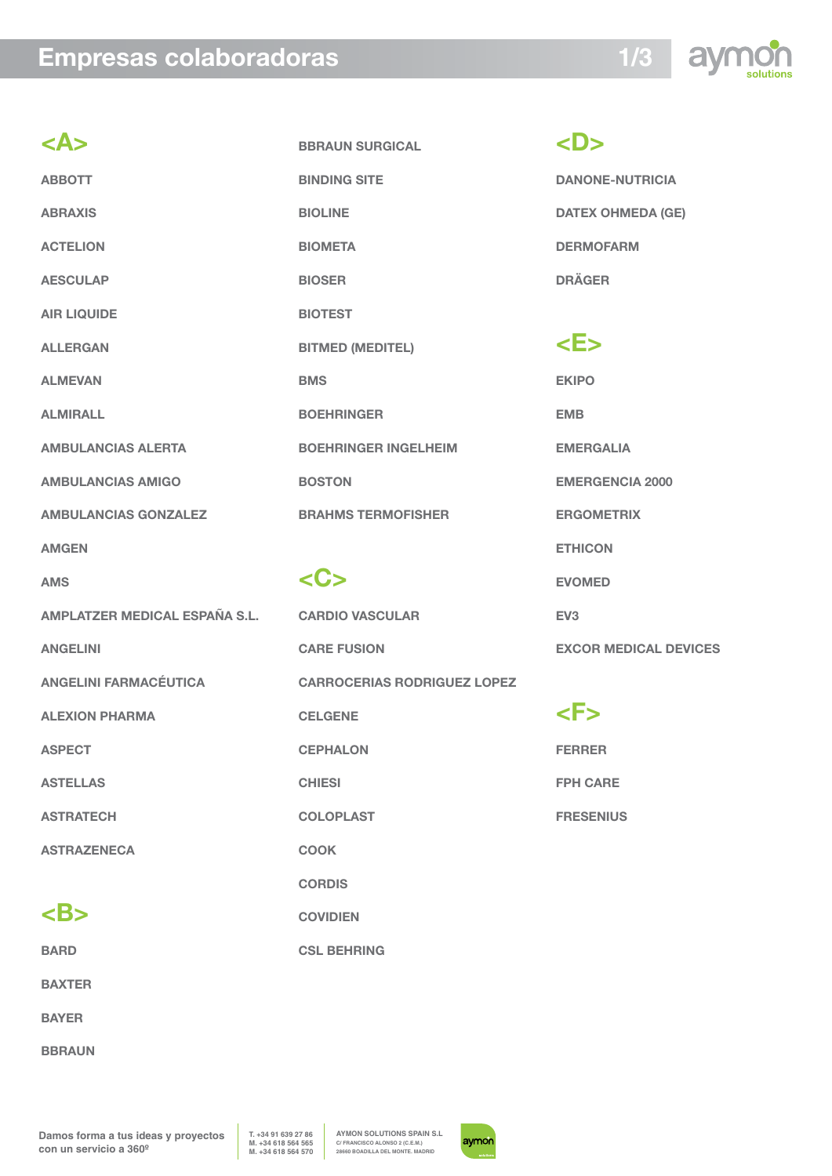## **Empresas colaboradoras**



| <a></a>                       | <b>BBRAUN SURGICAL</b>             |
|-------------------------------|------------------------------------|
| <b>ABBOTT</b>                 | <b>BINDING SITE</b>                |
| <b>ABRAXIS</b>                | <b>BIOLINE</b>                     |
| <b>ACTELION</b>               | <b>BIOMETA</b>                     |
| <b>AESCULAP</b>               | <b>BIOSER</b>                      |
| <b>AIR LIQUIDE</b>            | <b>BIOTEST</b>                     |
| <b>ALLERGAN</b>               | <b>BITMED (MEDITEL)</b>            |
| <b>ALMEVAN</b>                | <b>BMS</b>                         |
| <b>ALMIRALL</b>               | <b>BOEHRINGER</b>                  |
| <b>AMBULANCIAS ALERTA</b>     | <b>BOEHRINGER INGELHEIM</b>        |
| <b>AMBULANCIAS AMIGO</b>      | <b>BOSTON</b>                      |
| <b>AMBULANCIAS GONZALEZ</b>   | <b>BRAHMS TERMOFISHER</b>          |
| <b>AMGEN</b>                  |                                    |
| <b>AMS</b>                    | <c></c>                            |
| AMPLATZER MEDICAL ESPAÑA S.L. | <b>CARDIO VASCULAR</b>             |
| <b>ANGELINI</b>               | <b>CARE FUSION</b>                 |
| <b>ANGELINI FARMACÉUTICA</b>  | <b>CARROCERIAS RODRIGUEZ LOPEZ</b> |
| <b>ALEXION PHARMA</b>         | <b>CELGENE</b>                     |
| <b>ASPECT</b>                 |                                    |
|                               | <b>CEPHALON</b>                    |
| <b>ASTELLAS</b>               | <b>CHIESI</b>                      |
| <b>ASTRATECH</b>              | <b>COLOPLAST</b>                   |
| <b>ASTRAZENECA</b>            | <b>COOK</b>                        |
|                               | <b>CORDIS</b>                      |
| $\mathsf{}$                   | <b>COVIDIEN</b>                    |

**BARD**

**BAXTER**

**BAYER**

**BBRAUN**

**<D> DANONE-NUTRICIA DATEX OHMEDA (GE) DERMOFARM DRÄGER**

# **<E>**

**EKIPO EMB EMERGALIA EMERGENCIA 2000 ERGOMETRIX ETHICON EVOMED EV3 EXCOR MEDICAL DEVICES**

**<F> FERRER FPH CARE FRESENIUS**

**Damos forma a tus ideas y proyectos con un servicio a 360º**

**T. +34 91 639 27 86 M. +34 618 564 565 M. +34 618 564 570**

**AYMON SOLUTIONS SPAIN S.L C/ FRANCISCO ALONSO 2 (C.E.M.) 28660 BOADILLA DEL MONTE. MADRID**

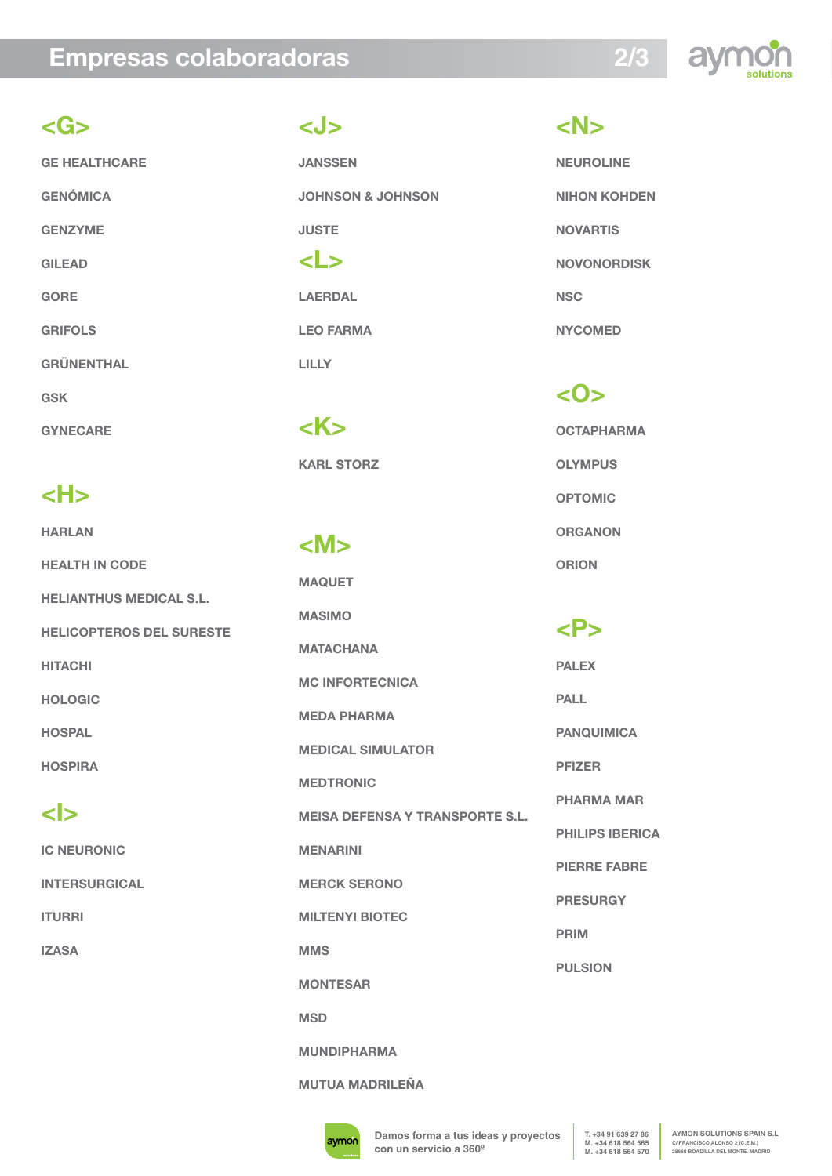### **Empresas colaboradoras**



### **<G>**

**GE HEALTHCARE GENÓMICA GENZYME GILEAD GORE GRIFOLS GRÜNENTHAL GSK GYNECARE** 

# **<H>**

**HARLAN HEALTH IN CODE HELIANTHUS MEDICAL S.L. HELICOPTEROS DEL SURESTE HITACHI HOLOGIC HOSPAL HOSPIRA <I>**

**IC NEURONIC INTERSURGICAL ITURRI IZASA**

### **<J>**

**JANSSEN JOHNSON & JOHNSON JUSTE <L> LAERDAL** 

**LEO FARMA LILLY**

**<K> KARL STORZ** 

### **<M>**

**MAQUET MASIMO MATACHANA MC INFORTECNICA MEDA PHARMA MEDICAL SIMULATOR MEDTRONIC MEISA DEFENSA Y TRANSPORTE S.L. MENARINI MERCK SERONO MILTENYI BIOTEC MMS MONTESAR MSD**

**MUNDIPHARMA**

#### **MUTUA MADRILEÑA**

**<N>**

**NEUROLINE NIHON KOHDEN NOVARTIS NOVONORDISK NSC NYCOMED**

### **<O>**

**OCTAPHARMA OLYMPUS OPTOMIC ORGANON ORION**

### **<P>**

**PALEX PALL PANQUIMICA PFIZER PHARMA MAR PHILIPS IBERICA PIERRE FABRE PRESURGY PRIM PULSION**

avmor